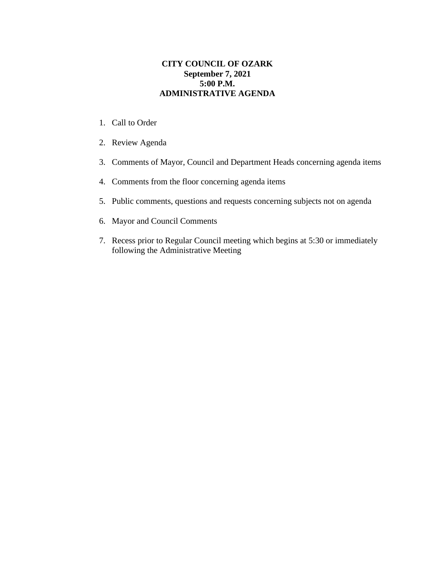## **CITY COUNCIL OF OZARK September 7, 2021 5:00 P.M. ADMINISTRATIVE AGENDA**

- 1. Call to Order
- 2. Review Agenda
- 3. Comments of Mayor, Council and Department Heads concerning agenda items
- 4. Comments from the floor concerning agenda items
- 5. Public comments, questions and requests concerning subjects not on agenda
- 6. Mayor and Council Comments
- 7. Recess prior to Regular Council meeting which begins at 5:30 or immediately following the Administrative Meeting